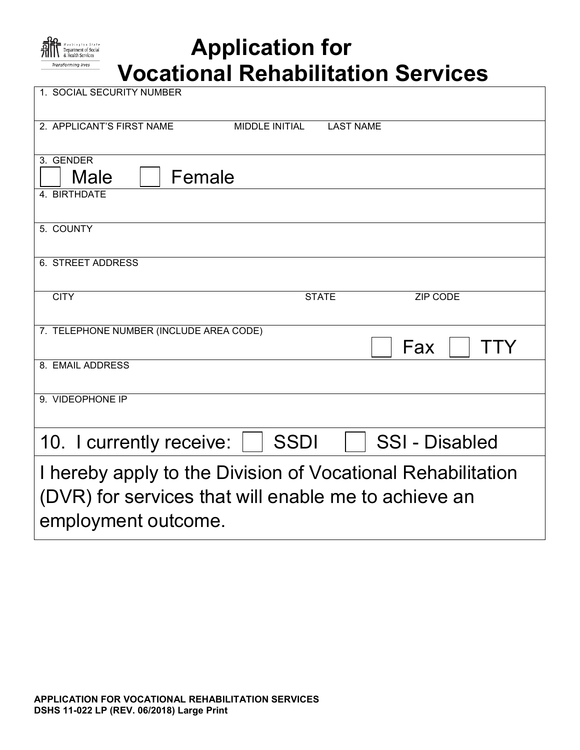

## **Application for Vocational Rehabilitation Services**

| 1. SOCIAL SECURITY NUMBER                                              |
|------------------------------------------------------------------------|
| 2. APPLICANT'S FIRST NAME<br><b>MIDDLE INITIAL</b><br><b>LAST NAME</b> |
| 3. GENDER<br>Male<br>Female                                            |
| 4. BIRTHDATE                                                           |
| 5. COUNTY                                                              |
| <b>6. STREET ADDRESS</b>                                               |
| <b>CITY</b><br><b>STATE</b><br><b>ZIP CODE</b>                         |
| 7. TELEPHONE NUMBER (INCLUDE AREA CODE)                                |
| Fax<br>TTY                                                             |
| 8. EMAIL ADDRESS                                                       |
| 9. VIDEOPHONE IP                                                       |
| <b>SSDI</b><br><b>SSI - Disabled</b><br>10. I currently receive:       |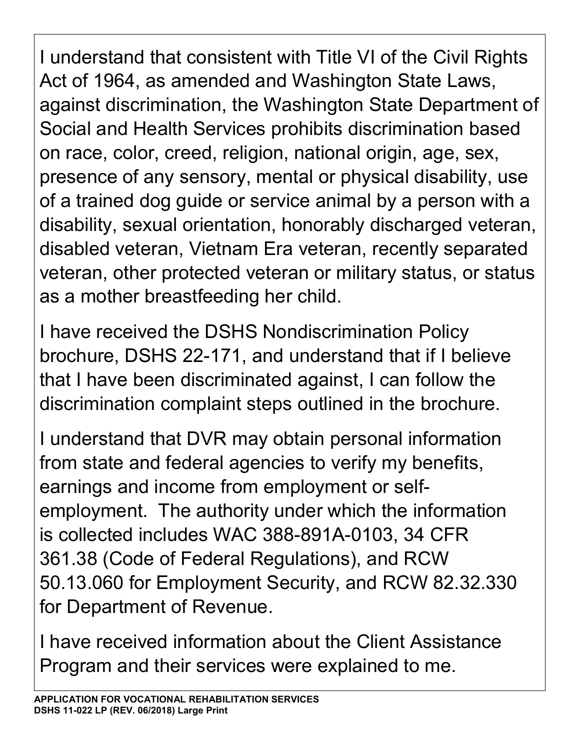I understand that consistent with Title VI of the Civil Rights Act of 1964, as amended and Washington State Laws, against discrimination, the Washington State Department of Social and Health Services prohibits discrimination based on race, color, creed, religion, national origin, age, sex, presence of any sensory, mental or physical disability, use of a trained dog guide or service animal by a person with a disability, sexual orientation, honorably discharged veteran, disabled veteran, Vietnam Era veteran, recently separated veteran, other protected veteran or military status, or status as a mother breastfeeding her child.

I have received the DSHS Nondiscrimination Policy brochure, DSHS 22-171, and understand that if I believe that I have been discriminated against, I can follow the discrimination complaint steps outlined in the brochure.

I understand that DVR may obtain personal information from state and federal agencies to verify my benefits, earnings and income from employment or selfemployment. The authority under which the information is collected includes WAC 388-891A-0103, 34 CFR 361.38 (Code of Federal Regulations), and RCW 50.13.060 for Employment Security, and RCW 82.32.330 for Department of Revenue.

I have received information about the Client Assistance Program and their services were explained to me.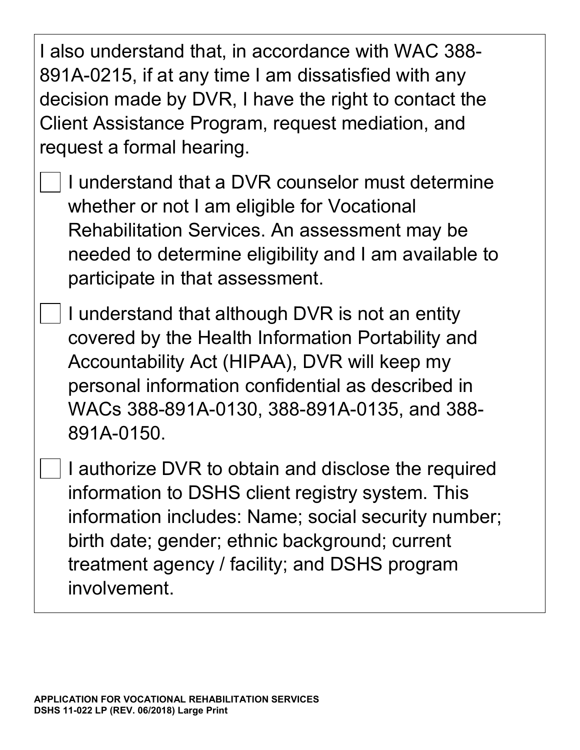| I also understand that, in accordance with WAC 388-<br>891A-0215, if at any time I am dissatisfied with any<br>decision made by DVR, I have the right to contact the<br>Client Assistance Program, request mediation, and<br>request a formal hearing.                            |  |
|-----------------------------------------------------------------------------------------------------------------------------------------------------------------------------------------------------------------------------------------------------------------------------------|--|
| I understand that a DVR counselor must determine<br>whether or not I am eligible for Vocational<br>Rehabilitation Services. An assessment may be<br>needed to determine eligibility and I am available to<br>participate in that assessment.                                      |  |
| I understand that although DVR is not an entity<br>covered by the Health Information Portability and<br>Accountability Act (HIPAA), DVR will keep my<br>personal information confidential as described in<br>WACs 388-891A-0130, 388-891A-0135, and 388-<br>891A-0150.            |  |
| I authorize DVR to obtain and disclose the required<br>information to DSHS client registry system. This<br>information includes: Name; social security number;<br>birth date; gender; ethnic background; current<br>treatment agency / facility; and DSHS program<br>involvement. |  |